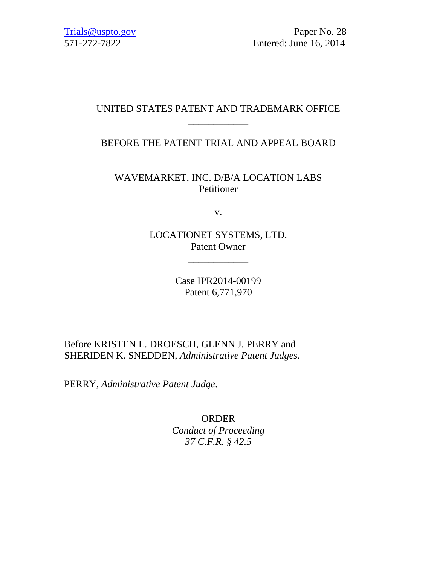Trials@uspto.gov Paper No. 28 571-272-7822 Entered: June 16, 2014

# UNITED STATES PATENT AND TRADEMARK OFFICE \_\_\_\_\_\_\_\_\_\_\_\_

BEFORE THE PATENT TRIAL AND APPEAL BOARD \_\_\_\_\_\_\_\_\_\_\_\_

WAVEMARKET, INC. D/B/A LOCATION LABS Petitioner

v.

LOCATIONET SYSTEMS, LTD. Patent Owner

\_\_\_\_\_\_\_\_\_\_\_\_

Case IPR2014-00199 Patent 6,771,970

\_\_\_\_\_\_\_\_\_\_\_\_

Before KRISTEN L. DROESCH, GLENN J. PERRY and SHERIDEN K. SNEDDEN, *Administrative Patent Judges*.

PERRY, *Administrative Patent Judge*.

ORDER *Conduct of Proceeding 37 C.F.R. § 42.5*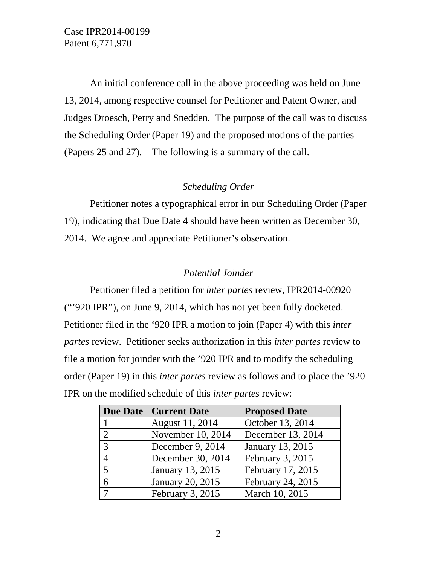An initial conference call in the above proceeding was held on June 13, 2014, among respective counsel for Petitioner and Patent Owner, and Judges Droesch, Perry and Snedden. The purpose of the call was to discuss the Scheduling Order (Paper 19) and the proposed motions of the parties (Papers 25 and 27). The following is a summary of the call.

## *Scheduling Order*

Petitioner notes a typographical error in our Scheduling Order (Paper 19), indicating that Due Date 4 should have been written as December 30, 2014. We agree and appreciate Petitioner's observation.

### *Potential Joinder*

Petitioner filed a petition for *inter partes* review, IPR2014-00920 ("'920 IPR"), on June 9, 2014, which has not yet been fully docketed. Petitioner filed in the '920 IPR a motion to join (Paper 4) with this *inter partes* review. Petitioner seeks authorization in this *inter partes* review to file a motion for joinder with the '920 IPR and to modify the scheduling order (Paper 19) in this *inter partes* review as follows and to place the '920 IPR on the modified schedule of this *inter partes* review:

|                | Due Date   Current Date | <b>Proposed Date</b> |
|----------------|-------------------------|----------------------|
|                | August 11, 2014         | October 13, 2014     |
| $\overline{2}$ | November 10, 2014       | December 13, 2014    |
| 3              | December 9, 2014        | January 13, 2015     |
| $\overline{4}$ | December 30, 2014       | February 3, 2015     |
| 5              | January 13, 2015        | February 17, 2015    |
| 6              | <b>January 20, 2015</b> | February 24, 2015    |
|                | February 3, 2015        | March 10, 2015       |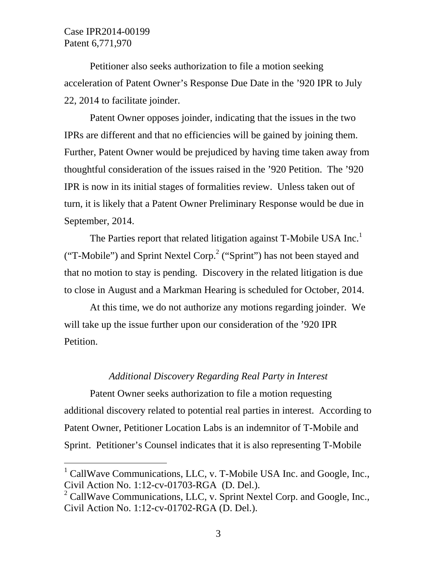-

Petitioner also seeks authorization to file a motion seeking acceleration of Patent Owner's Response Due Date in the '920 IPR to July 22, 2014 to facilitate joinder.

Patent Owner opposes joinder, indicating that the issues in the two IPRs are different and that no efficiencies will be gained by joining them. Further, Patent Owner would be prejudiced by having time taken away from thoughtful consideration of the issues raised in the '920 Petition. The '920 IPR is now in its initial stages of formalities review. Unless taken out of turn, it is likely that a Patent Owner Preliminary Response would be due in September, 2014.

The Parties report that related litigation against T-Mobile USA Inc.<sup>1</sup> ("T-Mobile") and Sprint Nextel Corp.<sup>2</sup> ("Sprint") has not been stayed and that no motion to stay is pending. Discovery in the related litigation is due to close in August and a Markman Hearing is scheduled for October, 2014.

At this time, we do not authorize any motions regarding joinder. We will take up the issue further upon our consideration of the '920 IPR Petition.

#### *Additional Discovery Regarding Real Party in Interest*

Patent Owner seeks authorization to file a motion requesting additional discovery related to potential real parties in interest. According to Patent Owner, Petitioner Location Labs is an indemnitor of T-Mobile and Sprint. Petitioner's Counsel indicates that it is also representing T-Mobile

<sup>&</sup>lt;sup>1</sup> CallWave Communications, LLC, v. T-Mobile USA Inc. and Google, Inc., Civil Action No. 1:12-cv-01703-RGA (D. Del.).

<sup>&</sup>lt;sup>2</sup> CallWave Communications, LLC, v. Sprint Nextel Corp. and Google, Inc., Civil Action No. 1:12-cv-01702-RGA (D. Del.).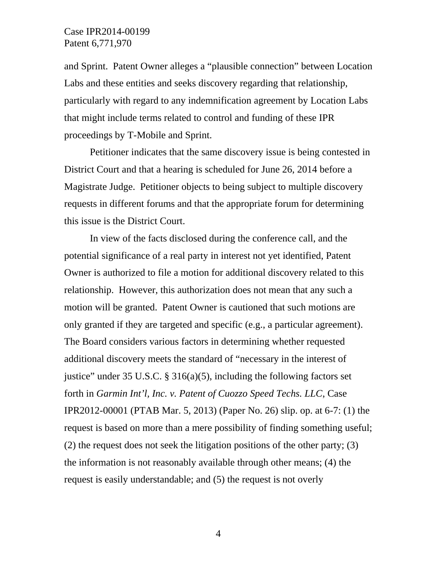and Sprint. Patent Owner alleges a "plausible connection" between Location Labs and these entities and seeks discovery regarding that relationship, particularly with regard to any indemnification agreement by Location Labs that might include terms related to control and funding of these IPR proceedings by T-Mobile and Sprint.

Petitioner indicates that the same discovery issue is being contested in District Court and that a hearing is scheduled for June 26, 2014 before a Magistrate Judge. Petitioner objects to being subject to multiple discovery requests in different forums and that the appropriate forum for determining this issue is the District Court.

In view of the facts disclosed during the conference call, and the potential significance of a real party in interest not yet identified, Patent Owner is authorized to file a motion for additional discovery related to this relationship. However, this authorization does not mean that any such a motion will be granted. Patent Owner is cautioned that such motions are only granted if they are targeted and specific (e.g., a particular agreement). The Board considers various factors in determining whether requested additional discovery meets the standard of "necessary in the interest of justice" under 35 U.S.C. § 316(a)(5), including the following factors set forth in *Garmin Int'l, Inc. v. Patent of Cuozzo Speed Techs. LLC*, Case IPR2012-00001 (PTAB Mar. 5, 2013) (Paper No. 26) slip. op. at 6-7: (1) the request is based on more than a mere possibility of finding something useful; (2) the request does not seek the litigation positions of the other party; (3) the information is not reasonably available through other means; (4) the request is easily understandable; and (5) the request is not overly

4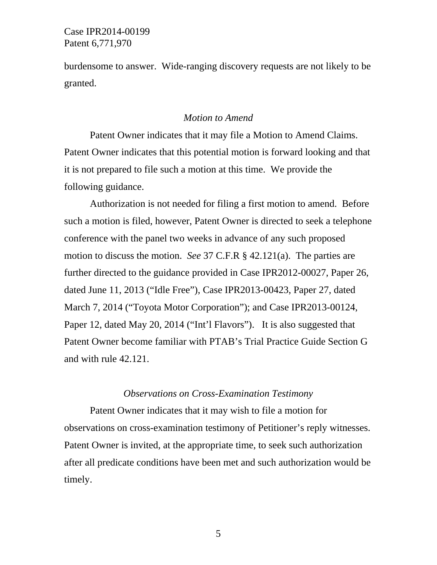burdensome to answer. Wide-ranging discovery requests are not likely to be granted.

## *Motion to Amend*

Patent Owner indicates that it may file a Motion to Amend Claims. Patent Owner indicates that this potential motion is forward looking and that it is not prepared to file such a motion at this time. We provide the following guidance.

Authorization is not needed for filing a first motion to amend. Before such a motion is filed, however, Patent Owner is directed to seek a telephone conference with the panel two weeks in advance of any such proposed motion to discuss the motion. *See* 37 C.F.R § 42.121(a). The parties are further directed to the guidance provided in Case IPR2012-00027, Paper 26, dated June 11, 2013 ("Idle Free"), Case IPR2013-00423, Paper 27, dated March 7, 2014 ("Toyota Motor Corporation"); and Case IPR2013-00124, Paper 12, dated May 20, 2014 ("Int'l Flavors"). It is also suggested that Patent Owner become familiar with PTAB's Trial Practice Guide Section G and with rule 42.121.

#### *Observations on Cross-Examination Testimony*

Patent Owner indicates that it may wish to file a motion for observations on cross-examination testimony of Petitioner's reply witnesses. Patent Owner is invited, at the appropriate time, to seek such authorization after all predicate conditions have been met and such authorization would be timely.

5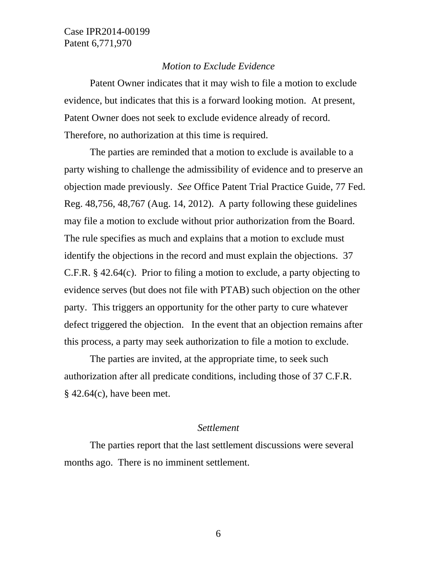#### *Motion to Exclude Evidence*

Patent Owner indicates that it may wish to file a motion to exclude evidence, but indicates that this is a forward looking motion. At present, Patent Owner does not seek to exclude evidence already of record. Therefore, no authorization at this time is required.

The parties are reminded that a motion to exclude is available to a party wishing to challenge the admissibility of evidence and to preserve an objection made previously. *See* Office Patent Trial Practice Guide, 77 Fed. Reg. 48,756, 48,767 (Aug. 14, 2012). A party following these guidelines may file a motion to exclude without prior authorization from the Board. The rule specifies as much and explains that a motion to exclude must identify the objections in the record and must explain the objections. 37 C.F.R. § 42.64(c). Prior to filing a motion to exclude, a party objecting to evidence serves (but does not file with PTAB) such objection on the other party. This triggers an opportunity for the other party to cure whatever defect triggered the objection. In the event that an objection remains after this process, a party may seek authorization to file a motion to exclude.

The parties are invited, at the appropriate time, to seek such authorization after all predicate conditions, including those of 37 C.F.R. § 42.64(c), have been met.

### *Settlement*

The parties report that the last settlement discussions were several months ago. There is no imminent settlement.